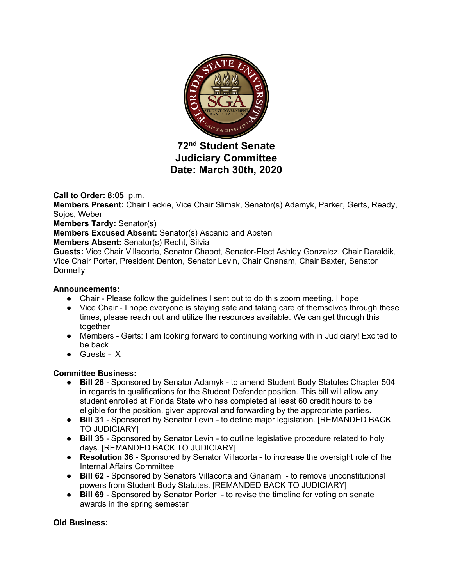

# **72nd Student Senate Judiciary Committee Date: March 30th, 2020**

**Call to Order: 8:05** p.m.

**Members Present:** Chair Leckie, Vice Chair Slimak, Senator(s) Adamyk, Parker, Gerts, Ready, Sojos, Weber

**Members Tardy:** Senator(s)

**Members Excused Absent:** Senator(s) Ascanio and Absten

**Members Absent:** Senator(s) Recht, Silvia

**Guests:** Vice Chair Villacorta, Senator Chabot, Senator-Elect Ashley Gonzalez, Chair Daraldik, Vice Chair Porter, President Denton, Senator Levin, Chair Gnanam, Chair Baxter, Senator **Donnelly** 

# **Announcements:**

- Chair Please follow the guidelines I sent out to do this zoom meeting. I hope
- Vice Chair I hope everyone is staying safe and taking care of themselves through these times, please reach out and utilize the resources available. We can get through this together
- Members Gerts: I am looking forward to continuing working with in Judiciary! Excited to be back
- Guests X

# **Committee Business:**

- **Bill 26** Sponsored by Senator Adamyk to amend Student Body Statutes Chapter 504 in regards to qualifications for the Student Defender position. This bill will allow any student enrolled at Florida State who has completed at least 60 credit hours to be eligible for the position, given approval and forwarding by the appropriate parties.
- **Bill 31** Sponsored by Senator Levin to define major legislation. [REMANDED BACK TO JUDICIARY]
- **Bill 35** Sponsored by Senator Levin to outline legislative procedure related to holy days. [REMANDED BACK TO JUDICIARY]
- **Resolution 36** Sponsored by Senator Villacorta to increase the oversight role of the Internal Affairs Committee
- **Bill 62** Sponsored by Senators Villacorta and Gnanam to remove unconstitutional powers from Student Body Statutes. [REMANDED BACK TO JUDICIARY]
- **Bill 69** Sponsored by Senator Porter to revise the timeline for voting on senate awards in the spring semester

# **Old Business:**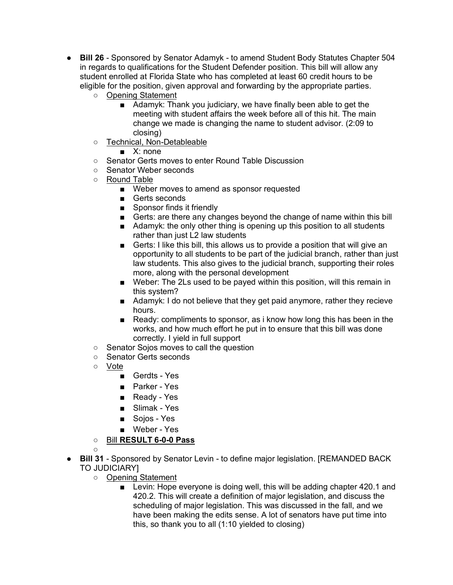- **Bill 26** Sponsored by Senator Adamyk to amend Student Body Statutes Chapter 504 in regards to qualifications for the Student Defender position. This bill will allow any student enrolled at Florida State who has completed at least 60 credit hours to be eligible for the position, given approval and forwarding by the appropriate parties.
	- Opening Statement
		- Adamyk: Thank you judiciary, we have finally been able to get the meeting with student affairs the week before all of this hit. The main change we made is changing the name to student advisor. (2:09 to closing)
	- Technical, Non-Detableable
		- X: none
	- Senator Gerts moves to enter Round Table Discussion
	- Senator Weber seconds
	- Round Table
		- Weber moves to amend as sponsor requested
		- Gerts seconds
		- Sponsor finds it friendly
		- Gerts: are there any changes beyond the change of name within this bill
		- Adamyk: the only other thing is opening up this position to all students rather than just L2 law students
		- Gerts: I like this bill, this allows us to provide a position that will give an opportunity to all students to be part of the judicial branch, rather than just law students. This also gives to the judicial branch, supporting their roles more, along with the personal development
		- Weber: The 2Ls used to be payed within this position, will this remain in this system?
		- Adamyk: I do not believe that they get paid anymore, rather they recieve hours.
		- Ready: compliments to sponsor, as i know how long this has been in the works, and how much effort he put in to ensure that this bill was done correctly. I yield in full support
	- Senator Sojos moves to call the question
	- Senator Gerts seconds
	- Vote
		- Gerdts Yes
		- Parker Yes
		- Ready Yes
		- Slimak Yes
		- Sojos Yes
		- Weber Yes
	- Bill **RESULT 6-0-0 Pass**
	-
- $\circ$ **Bill 31** - Sponsored by Senator Levin - to define major legislation. [REMANDED BACK TO JUDICIARY]
	- Opening Statement
		- Levin: Hope everyone is doing well, this will be adding chapter 420.1 and 420.2. This will create a definition of major legislation, and discuss the scheduling of major legislation. This was discussed in the fall, and we have been making the edits sense. A lot of senators have put time into this, so thank you to all (1:10 yielded to closing)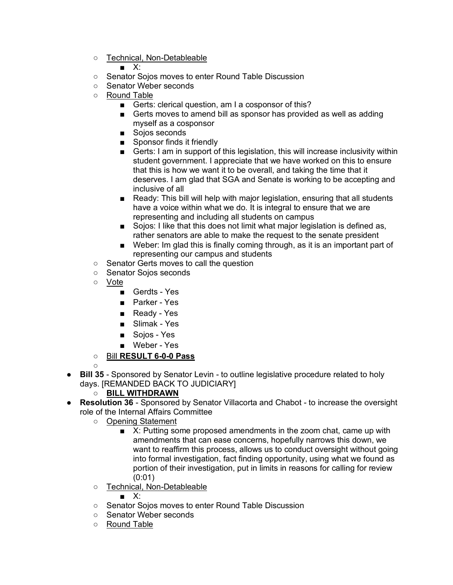○ Technical, Non-Detableable

# $\blacksquare$  X:

- Senator Sojos moves to enter Round Table Discussion
- Senator Weber seconds
- Round Table
	- Gerts: clerical question, am I a cosponsor of this?
	- Gerts moves to amend bill as sponsor has provided as well as adding myself as a cosponsor
	- Sojos seconds
	- Sponsor finds it friendly
	- Gerts: I am in support of this legislation, this will increase inclusivity within student government. I appreciate that we have worked on this to ensure that this is how we want it to be overall, and taking the time that it deserves. I am glad that SGA and Senate is working to be accepting and inclusive of all
	- Ready: This bill will help with major legislation, ensuring that all students have a voice within what we do. It is integral to ensure that we are representing and including all students on campus
	- Sojos: I like that this does not limit what major legislation is defined as, rather senators are able to make the request to the senate president
	- Weber: Im glad this is finally coming through, as it is an important part of representing our campus and students
- Senator Gerts moves to call the question
- Senator Sojos seconds
- Vote

 $\Omega$ 

- Gerdts Yes
- Parker Yes
- Ready Yes
- Slimak Yes
- Soios Yes
- Weber Yes
- Bill **RESULT 6-0-0 Pass**
- **Bill 35** Sponsored by Senator Levin to outline legislative procedure related to holy days. [REMANDED BACK TO JUDICIARY]
	- **BILL WITHDRAWN**
- **Resolution 36** Sponsored by Senator Villacorta and Chabot to increase the oversight role of the Internal Affairs Committee
	- Opening Statement
		- X: Putting some proposed amendments in the zoom chat, came up with amendments that can ease concerns, hopefully narrows this down, we want to reaffirm this process, allows us to conduct oversight without going into formal investigation, fact finding opportunity, using what we found as portion of their investigation, put in limits in reasons for calling for review (0:01)
	- Technical, Non-Detableable
		- X:
	- Senator Sojos moves to enter Round Table Discussion
	- Senator Weber seconds
	- Round Table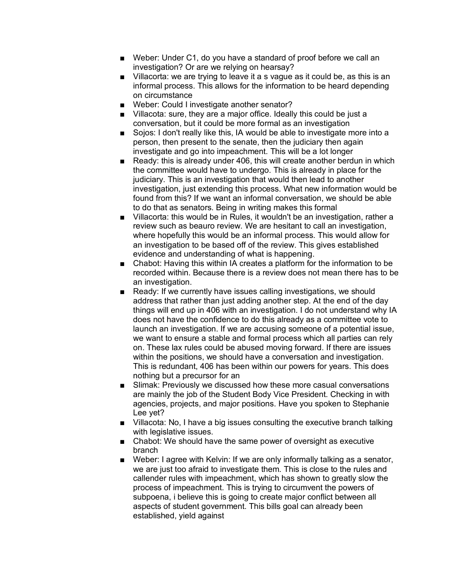- Weber: Under C1, do you have a standard of proof before we call an investigation? Or are we relying on hearsay?
- Villacorta: we are trying to leave it a s vague as it could be, as this is an informal process. This allows for the information to be heard depending on circumstance
- Weber: Could I investigate another senator?
- Villacota: sure, they are a major office. Ideally this could be just a conversation, but it could be more formal as an investigation
- Sojos: I don't really like this, IA would be able to investigate more into a person, then present to the senate, then the judiciary then again investigate and go into impeachment. This will be a lot longer
- Ready: this is already under 406, this will create another berdun in which the committee would have to undergo. This is already in place for the judiciary. This is an investigation that would then lead to another investigation, just extending this process. What new information would be found from this? If we want an informal conversation, we should be able to do that as senators. Being in writing makes this formal
- Villacorta: this would be in Rules, it wouldn't be an investigation, rather a review such as beauro review. We are hesitant to call an investigation, where hopefully this would be an informal process. This would allow for an investigation to be based off of the review. This gives established evidence and understanding of what is happening.
- Chabot: Having this within IA creates a platform for the information to be recorded within. Because there is a review does not mean there has to be an investigation.
- Ready: If we currently have issues calling investigations, we should address that rather than just adding another step. At the end of the day things will end up in 406 with an investigation. I do not understand why IA does not have the confidence to do this already as a committee vote to launch an investigation. If we are accusing someone of a potential issue, we want to ensure a stable and formal process which all parties can rely on. These lax rules could be abused moving forward. If there are issues within the positions, we should have a conversation and investigation. This is redundant, 406 has been within our powers for years. This does nothing but a precursor for an
- Slimak: Previously we discussed how these more casual conversations are mainly the job of the Student Body Vice President. Checking in with agencies, projects, and major positions. Have you spoken to Stephanie Lee yet?
- Villacota: No, I have a big issues consulting the executive branch talking with legislative issues.
- Chabot: We should have the same power of oversight as executive branch
- Weber: I agree with Kelvin: If we are only informally talking as a senator, we are just too afraid to investigate them. This is close to the rules and callender rules with impeachment, which has shown to greatly slow the process of impeachment. This is trying to circumvent the powers of subpoena, i believe this is going to create major conflict between all aspects of student government. This bills goal can already been established, yield against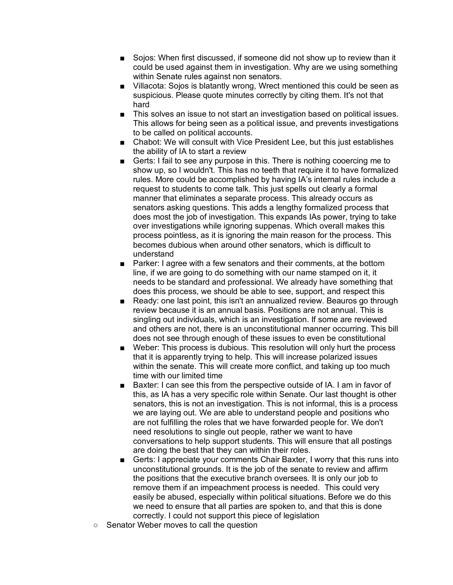- Soios: When first discussed, if someone did not show up to review than it could be used against them in investigation. Why are we using something within Senate rules against non senators.
- Villacota: Sojos is blatantly wrong, Wrect mentioned this could be seen as suspicious. Please quote minutes correctly by citing them. It's not that hard
- This solves an issue to not start an investigation based on political issues. This allows for being seen as a political issue, and prevents investigations to be called on political accounts.
- Chabot: We will consult with Vice President Lee, but this just establishes the ability of IA to start a review
- Gerts: I fail to see any purpose in this. There is nothing cooercing me to show up, so I wouldn't. This has no teeth that require it to have formalized rules. More could be accomplished by having IA's internal rules include a request to students to come talk. This just spells out clearly a formal manner that eliminates a separate process. This already occurs as senators asking questions. This adds a lengthy formalized process that does most the job of investigation. This expands IAs power, trying to take over investigations while ignoring suppenas. Which overall makes this process pointless, as it is ignoring the main reason for the process. This becomes dubious when around other senators, which is difficult to understand
- Parker: I agree with a few senators and their comments, at the bottom line, if we are going to do something with our name stamped on it, it needs to be standard and professional. We already have something that does this process, we should be able to see, support, and respect this
- Ready: one last point, this isn't an annualized review. Beauros go through review because it is an annual basis. Positions are not annual. This is singling out individuals, which is an investigation. If some are reviewed and others are not, there is an unconstitutional manner occurring. This bill does not see through enough of these issues to even be constitutional
- Weber: This process is dubious. This resolution will only hurt the process that it is apparently trying to help. This will increase polarized issues within the senate. This will create more conflict, and taking up too much time with our limited time
- Baxter: I can see this from the perspective outside of IA. I am in favor of this, as IA has a very specific role within Senate. Our last thought is other senators, this is not an investigation. This is not informal, this is a process we are laying out. We are able to understand people and positions who are not fulfilling the roles that we have forwarded people for. We don't need resolutions to single out people, rather we want to have conversations to help support students. This will ensure that all postings are doing the best that they can within their roles.
- Gerts: I appreciate your comments Chair Baxter, I worry that this runs into unconstitutional grounds. It is the job of the senate to review and affirm the positions that the executive branch oversees. It is only our job to remove them if an impeachment process is needed. This could very easily be abused, especially within political situations. Before we do this we need to ensure that all parties are spoken to, and that this is done correctly. I could not support this piece of legislation
- Senator Weber moves to call the question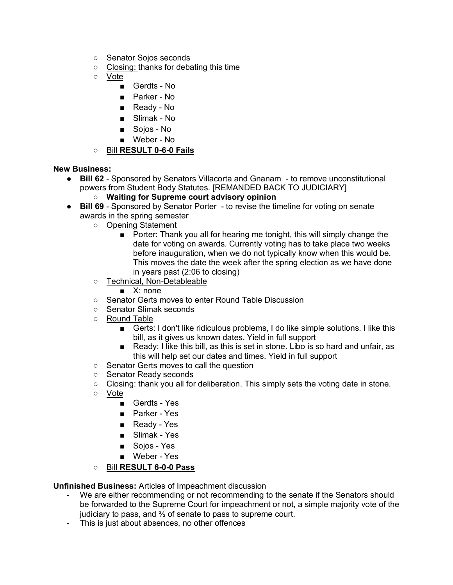- Senator Soios seconds
- Closing: thanks for debating this time
- Vote
	- Gerdts No
	- Parker No
	- Ready No
	- Slimak No
	- Sojos No
	- Weber No
- Bill **RESULT 0-6-0 Fails**

**New Business:**

- **Bill 62** Sponsored by Senators Villacorta and Gnanam to remove unconstitutional powers from Student Body Statutes. [REMANDED BACK TO JUDICIARY]
	- **Waiting for Supreme court advisory opinion**
- **Bill 69** Sponsored by Senator Porter to revise the timeline for voting on senate awards in the spring semester
	- Opening Statement
		- Porter: Thank you all for hearing me tonight, this will simply change the date for voting on awards. Currently voting has to take place two weeks before inauguration, when we do not typically know when this would be. This moves the date the week after the spring election as we have done in years past (2:06 to closing)
	- Technical, Non-Detableable
		- X: none
	- Senator Gerts moves to enter Round Table Discussion
	- Senator Slimak seconds
	- Round Table
		- Gerts: I don't like ridiculous problems, I do like simple solutions. I like this bill, as it gives us known dates. Yield in full support
		- Ready: I like this bill, as this is set in stone. Libo is so hard and unfair, as this will help set our dates and times. Yield in full support
	- Senator Gerts moves to call the question
	- Senator Ready seconds
	- $\circ$  Closing: thank you all for deliberation. This simply sets the voting date in stone.
	- Vote
		- Gerdts Yes
		- Parker Yes
		- Ready Yes
		- Slimak Yes
		- Sojos Yes
		- Weber Yes
	- Bill **RESULT 6-0-0 Pass**

**Unfinished Business:** Articles of Impeachment discussion

- We are either recommending or not recommending to the senate if the Senators should be forwarded to the Supreme Court for impeachment or not, a simple majority vote of the judiciary to pass, and ⅔ of senate to pass to supreme court.
- This is just about absences, no other offences